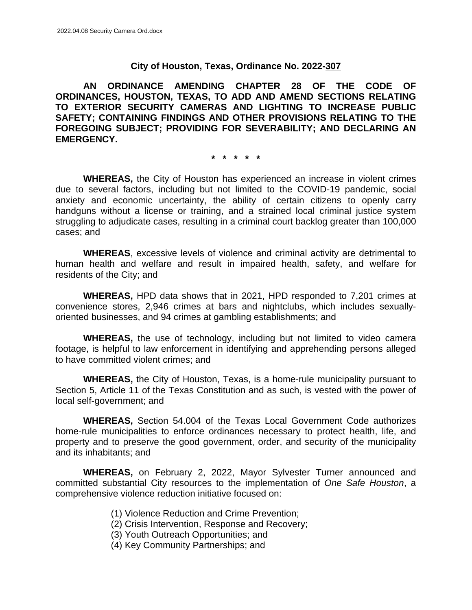### **City of Houston, Texas, Ordinance No. 2022-307**

**AN ORDINANCE AMENDING CHAPTER 28 OF THE CODE OF ORDINANCES, HOUSTON, TEXAS, TO ADD AND AMEND SECTIONS RELATING TO EXTERIOR SECURITY CAMERAS AND LIGHTING TO INCREASE PUBLIC SAFETY; CONTAINING FINDINGS AND OTHER PROVISIONS RELATING TO THE FOREGOING SUBJECT; PROVIDING FOR SEVERABILITY; AND DECLARING AN EMERGENCY.**

**\* \* \* \* \***

**WHEREAS,** the City of Houston has experienced an increase in violent crimes due to several factors, including but not limited to the COVID-19 pandemic, social anxiety and economic uncertainty, the ability of certain citizens to openly carry handguns without a license or training, and a strained local criminal justice system struggling to adjudicate cases, resulting in a criminal court backlog greater than 100,000 cases; and

**WHEREAS**, excessive levels of violence and criminal activity are detrimental to human health and welfare and result in impaired health, safety, and welfare for residents of the City; and

**WHEREAS,** HPD data shows that in 2021, HPD responded to 7,201 crimes at convenience stores, 2,946 crimes at bars and nightclubs, which includes sexuallyoriented businesses, and 94 crimes at gambling establishments; and

**WHEREAS,** the use of technology, including but not limited to video camera footage, is helpful to law enforcement in identifying and apprehending persons alleged to have committed violent crimes; and

**WHEREAS,** the City of Houston, Texas, is a home-rule municipality pursuant to Section 5, Article 11 of the Texas Constitution and as such, is vested with the power of local self-government; and

**WHEREAS,** Section 54.004 of the Texas Local Government Code authorizes home-rule municipalities to enforce ordinances necessary to protect health, life, and property and to preserve the good government, order, and security of the municipality and its inhabitants; and

**WHEREAS,** on February 2, 2022, Mayor Sylvester Turner announced and committed substantial City resources to the implementation of *One Safe Houston*, a comprehensive violence reduction initiative focused on:

- (1) Violence Reduction and Crime Prevention;
- (2) Crisis Intervention, Response and Recovery;
- (3) Youth Outreach Opportunities; and
- (4) Key Community Partnerships; and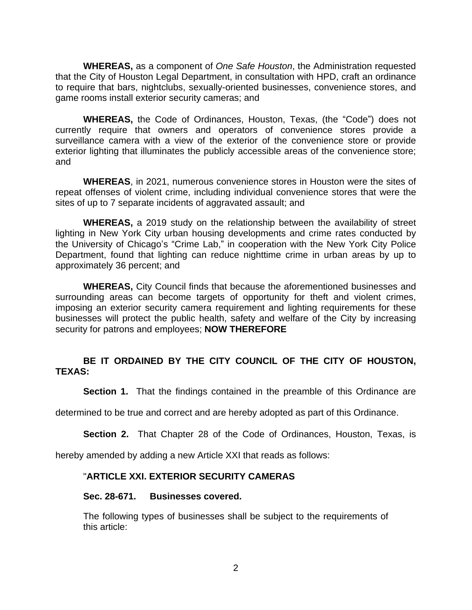**WHEREAS,** as a component of *One Safe Houston*, the Administration requested that the City of Houston Legal Department, in consultation with HPD, craft an ordinance to require that bars, nightclubs, sexually-oriented businesses, convenience stores, and game rooms install exterior security cameras; and

**WHEREAS,** the Code of Ordinances, Houston, Texas, (the "Code") does not currently require that owners and operators of convenience stores provide a surveillance camera with a view of the exterior of the convenience store or provide exterior lighting that illuminates the publicly accessible areas of the convenience store; and

**WHEREAS**, in 2021, numerous convenience stores in Houston were the sites of repeat offenses of violent crime, including individual convenience stores that were the sites of up to 7 separate incidents of aggravated assault; and

**WHEREAS,** a 2019 study on the relationship between the availability of street lighting in New York City urban housing developments and crime rates conducted by the University of Chicago's "Crime Lab," in cooperation with the New York City Police Department, found that lighting can reduce nighttime crime in urban areas by up to approximately 36 percent; and

**WHEREAS,** City Council finds that because the aforementioned businesses and surrounding areas can become targets of opportunity for theft and violent crimes, imposing an exterior security camera requirement and lighting requirements for these businesses will protect the public health, safety and welfare of the City by increasing security for patrons and employees; **NOW THEREFORE**

# **BE IT ORDAINED BY THE CITY COUNCIL OF THE CITY OF HOUSTON, TEXAS:**

**Section 1.** That the findings contained in the preamble of this Ordinance are

determined to be true and correct and are hereby adopted as part of this Ordinance.

**Section 2.** That Chapter 28 of the Code of Ordinances, Houston, Texas, is

hereby amended by adding a new Article XXI that reads as follows:

# "**ARTICLE XXI. EXTERIOR SECURITY CAMERAS**

### **Sec. 28-671. Businesses covered.**

The following types of businesses shall be subject to the requirements of this article: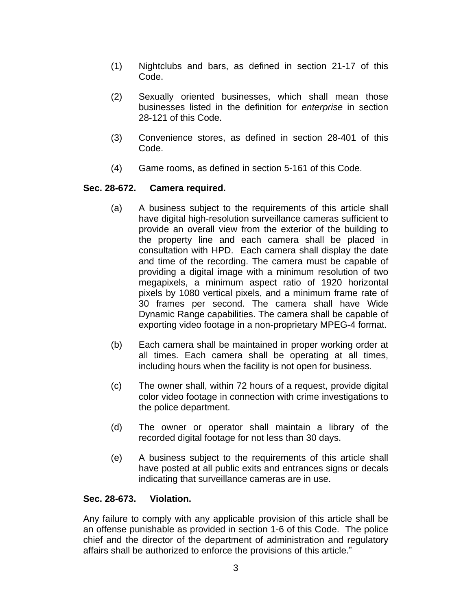- (1) Nightclubs and bars, as defined in section 21-17 of this Code.
- (2) Sexually oriented businesses, which shall mean those businesses listed in the definition for *enterprise* in section 28-121 of this Code.
- (3) Convenience stores, as defined in section 28-401 of this Code.
- (4) Game rooms, as defined in section 5-161 of this Code.

# **Sec. 28-672. Camera required.**

- (a) A business subject to the requirements of this article shall have digital high-resolution surveillance cameras sufficient to provide an overall view from the exterior of the building to the property line and each camera shall be placed in consultation with HPD. Each camera shall display the date and time of the recording. The camera must be capable of providing a digital image with a minimum resolution of two megapixels, a minimum aspect ratio of 1920 horizontal pixels by 1080 vertical pixels, and a minimum frame rate of 30 frames per second. The camera shall have Wide Dynamic Range capabilities. The camera shall be capable of exporting video footage in a non-proprietary MPEG-4 format.
- (b) Each camera shall be maintained in proper working order at all times. Each camera shall be operating at all times, including hours when the facility is not open for business.
- (c) The owner shall, within 72 hours of a request, provide digital color video footage in connection with crime investigations to the police department.
- (d) The owner or operator shall maintain a library of the recorded digital footage for not less than 30 days.
- (e) A business subject to the requirements of this article shall have posted at all public exits and entrances signs or decals indicating that surveillance cameras are in use.

### **Sec. 28-673. Violation.**

Any failure to comply with any applicable provision of this article shall be an offense punishable as provided in section 1-6 of this Code. The police chief and the director of the department of administration and regulatory affairs shall be authorized to enforce the provisions of this article."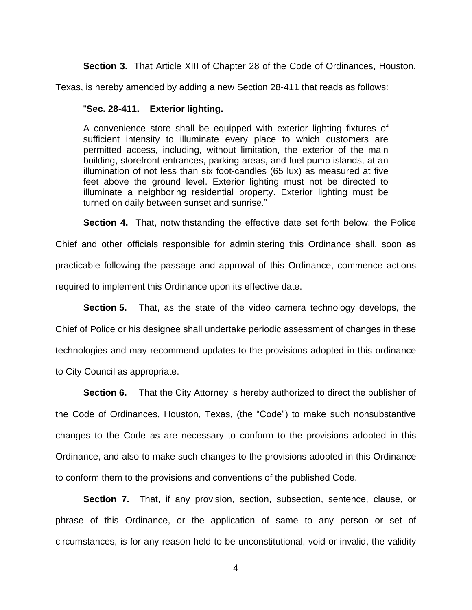**Section 3.** That Article XIII of Chapter 28 of the Code of Ordinances, Houston,

Texas, is hereby amended by adding a new Section 28-411 that reads as follows:

### "**Sec. 28-411. Exterior lighting.**

A convenience store shall be equipped with exterior lighting fixtures of sufficient intensity to illuminate every place to which customers are permitted access, including, without limitation, the exterior of the main building, storefront entrances, parking areas, and fuel pump islands, at an illumination of not less than six foot-candles (65 lux) as measured at five feet above the ground level. Exterior lighting must not be directed to illuminate a neighboring residential property. Exterior lighting must be turned on daily between sunset and sunrise."

**Section 4.** That, notwithstanding the effective date set forth below, the Police Chief and other officials responsible for administering this Ordinance shall, soon as practicable following the passage and approval of this Ordinance, commence actions required to implement this Ordinance upon its effective date.

**Section 5.** That, as the state of the video camera technology develops, the Chief of Police or his designee shall undertake periodic assessment of changes in these technologies and may recommend updates to the provisions adopted in this ordinance to City Council as appropriate.

**Section 6.** That the City Attorney is hereby authorized to direct the publisher of the Code of Ordinances, Houston, Texas, (the "Code") to make such nonsubstantive changes to the Code as are necessary to conform to the provisions adopted in this Ordinance, and also to make such changes to the provisions adopted in this Ordinance to conform them to the provisions and conventions of the published Code.

**Section 7.** That, if any provision, section, subsection, sentence, clause, or phrase of this Ordinance, or the application of same to any person or set of circumstances, is for any reason held to be unconstitutional, void or invalid, the validity